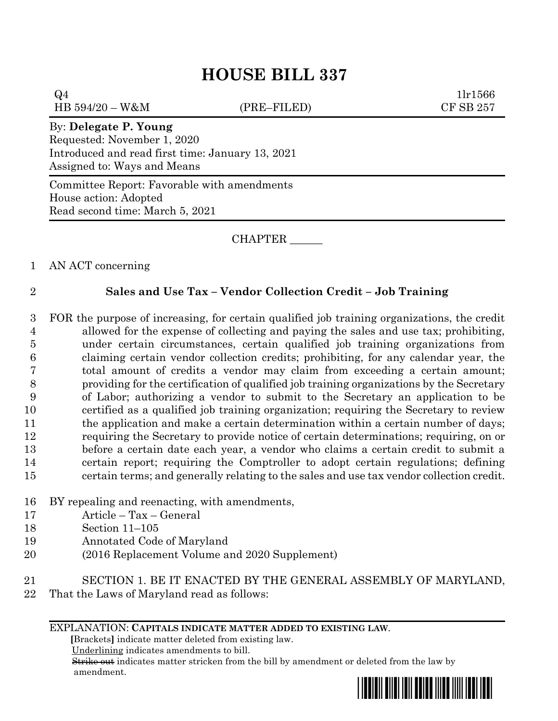# **HOUSE BILL 337**

 $Q4$  1lr1566 HB 594/20 – W&M (PRE–FILED) CF SB 257

## By: **Delegate P. Young**

Requested: November 1, 2020 Introduced and read first time: January 13, 2021 Assigned to: Ways and Means

Committee Report: Favorable with amendments House action: Adopted Read second time: March 5, 2021

# CHAPTER \_\_\_\_\_\_

1 AN ACT concerning

# 2 **Sales and Use Tax – Vendor Collection Credit – Job Training**

 FOR the purpose of increasing, for certain qualified job training organizations, the credit allowed for the expense of collecting and paying the sales and use tax; prohibiting, under certain circumstances, certain qualified job training organizations from claiming certain vendor collection credits; prohibiting, for any calendar year, the total amount of credits a vendor may claim from exceeding a certain amount; providing for the certification of qualified job training organizations by the Secretary of Labor; authorizing a vendor to submit to the Secretary an application to be certified as a qualified job training organization; requiring the Secretary to review 11 the application and make a certain determination within a certain number of days; requiring the Secretary to provide notice of certain determinations; requiring, on or before a certain date each year, a vendor who claims a certain credit to submit a certain report; requiring the Comptroller to adopt certain regulations; defining certain terms; and generally relating to the sales and use tax vendor collection credit.

- 16 BY repealing and reenacting, with amendments,
- 17 Article Tax General
- 18 Section 11–105
- 19 Annotated Code of Maryland
- 20 (2016 Replacement Volume and 2020 Supplement)
- 21 SECTION 1. BE IT ENACTED BY THE GENERAL ASSEMBLY OF MARYLAND,
- 22 That the Laws of Maryland read as follows:

## EXPLANATION: **CAPITALS INDICATE MATTER ADDED TO EXISTING LAW**.

 **[**Brackets**]** indicate matter deleted from existing law.

Underlining indicates amendments to bill.

 Strike out indicates matter stricken from the bill by amendment or deleted from the law by amendment.

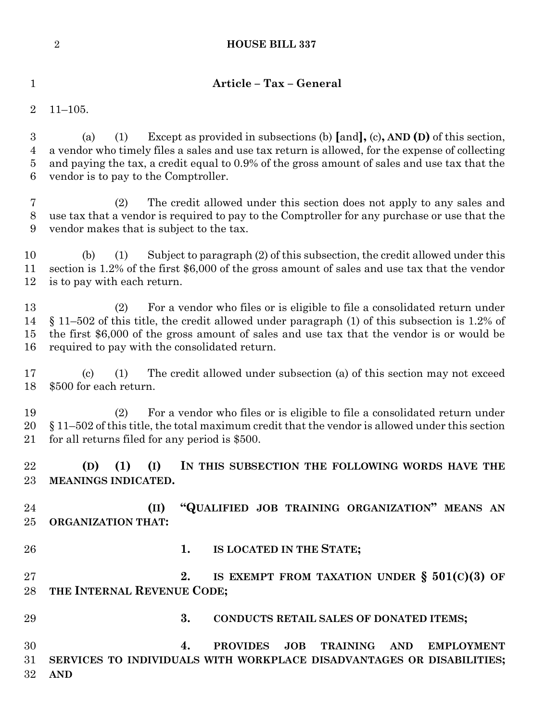| $\mathbf 1$                                  | Article - Tax - General                                                                                                                                                                                                                                                                                                               |  |  |  |
|----------------------------------------------|---------------------------------------------------------------------------------------------------------------------------------------------------------------------------------------------------------------------------------------------------------------------------------------------------------------------------------------|--|--|--|
| $\overline{2}$                               | $11 - 105.$                                                                                                                                                                                                                                                                                                                           |  |  |  |
| $\boldsymbol{3}$<br>4<br>$\overline{5}$<br>6 | Except as provided in subsections (b) $[and]$ , (c), AND (D) of this section,<br>(1)<br>(a)<br>a vendor who timely files a sales and use tax return is allowed, for the expense of collecting<br>and paying the tax, a credit equal to 0.9% of the gross amount of sales and use tax that the<br>vendor is to pay to the Comptroller. |  |  |  |
| 7<br>$8\,$<br>9                              | The credit allowed under this section does not apply to any sales and<br>(2)<br>use tax that a vendor is required to pay to the Comptroller for any purchase or use that the<br>vendor makes that is subject to the tax.                                                                                                              |  |  |  |
| 10<br>11<br>12                               | Subject to paragraph (2) of this subsection, the credit allowed under this<br>(b)<br>(1)<br>section is 1.2% of the first \$6,000 of the gross amount of sales and use tax that the vendor<br>is to pay with each return.                                                                                                              |  |  |  |
| 13<br>14<br>15<br>16                         | For a vendor who files or is eligible to file a consolidated return under<br>(2)<br>$\S$ 11–502 of this title, the credit allowed under paragraph (1) of this subsection is 1.2% of<br>the first \$6,000 of the gross amount of sales and use tax that the vendor is or would be<br>required to pay with the consolidated return.     |  |  |  |
| 17<br>18                                     | The credit allowed under subsection (a) of this section may not exceed<br>$\left( \mathrm{c}\right)$<br>(1)<br>\$500 for each return.                                                                                                                                                                                                 |  |  |  |
| 19<br>20<br>21                               | For a vendor who files or is eligible to file a consolidated return under<br>(2)<br>$\S 11-502$ of this title, the total maximum credit that the vendor is allowed under this section<br>for all returns filed for any period is \$500.                                                                                               |  |  |  |
| 22<br>23                                     | (D) (1) (I) IN THIS SUBSECTION THE FOLLOWING WORDS HAVE THE<br>MEANINGS INDICATED.                                                                                                                                                                                                                                                    |  |  |  |
| 24<br>25                                     | "QUALIFIED JOB TRAINING ORGANIZATION" MEANS AN<br>(II)<br><b>ORGANIZATION THAT:</b>                                                                                                                                                                                                                                                   |  |  |  |
| 26                                           | 1. IS LOCATED IN THE STATE;                                                                                                                                                                                                                                                                                                           |  |  |  |
| 27<br>28                                     | 2.<br>IS EXEMPT FROM TAXATION UNDER $\S$ 501(C)(3) OF<br>THE INTERNAL REVENUE CODE;                                                                                                                                                                                                                                                   |  |  |  |
| 29                                           | 3.<br>CONDUCTS RETAIL SALES OF DONATED ITEMS;                                                                                                                                                                                                                                                                                         |  |  |  |
| 30<br>31<br>32                               | JOB<br>TRAINING AND<br><b>PROVIDES</b><br><b>EMPLOYMENT</b><br>4.<br>SERVICES TO INDIVIDUALS WITH WORKPLACE DISADVANTAGES OR DISABILITIES;<br><b>AND</b>                                                                                                                                                                              |  |  |  |

**HOUSE BILL 337**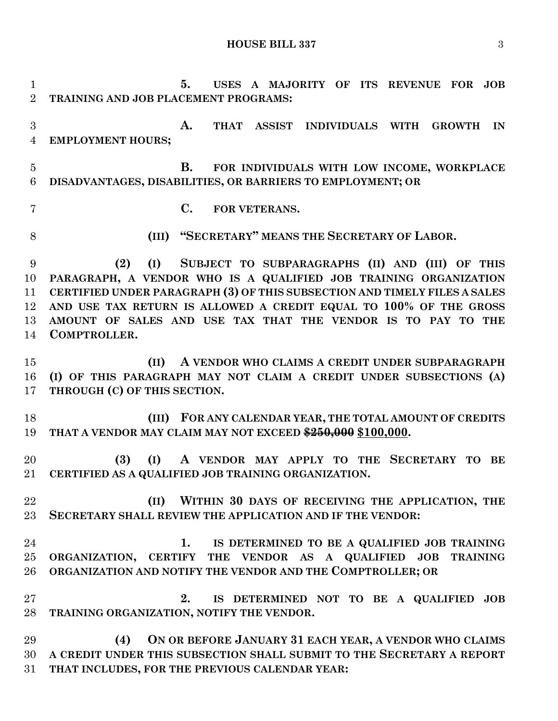**HOUSE BILL 337** 3

 **5. USES A MAJORITY OF ITS REVENUE FOR JOB TRAINING AND JOB PLACEMENT PROGRAMS: A. THAT ASSIST INDIVIDUALS WITH GROWTH IN EMPLOYMENT HOURS; B. FOR INDIVIDUALS WITH LOW INCOME, WORKPLACE DISADVANTAGES, DISABILITIES, OR BARRIERS TO EMPLOYMENT; OR C. FOR VETERANS. (III) "SECRETARY" MEANS THE SECRETARY OF LABOR. (2) (I) SUBJECT TO SUBPARAGRAPHS (II) AND (III) OF THIS PARAGRAPH, A VENDOR WHO IS A QUALIFIED JOB TRAINING ORGANIZATION CERTIFIED UNDER PARAGRAPH (3) OF THIS SUBSECTION AND TIMELY FILES A SALES AND USE TAX RETURN IS ALLOWED A CREDIT EQUAL TO 100% OF THE GROSS AMOUNT OF SALES AND USE TAX THAT THE VENDOR IS TO PAY TO THE COMPTROLLER. (II) A VENDOR WHO CLAIMS A CREDIT UNDER SUBPARAGRAPH (I) OF THIS PARAGRAPH MAY NOT CLAIM A CREDIT UNDER SUBSECTIONS (A) THROUGH (C) OF THIS SECTION. (III) FOR ANY CALENDAR YEAR, THE TOTAL AMOUNT OF CREDITS THAT A VENDOR MAY CLAIM MAY NOT EXCEED \$250,000 \$100,000. (3) (I) A VENDOR MAY APPLY TO THE SECRETARY TO BE CERTIFIED AS A QUALIFIED JOB TRAINING ORGANIZATION. (II) WITHIN 30 DAYS OF RECEIVING THE APPLICATION, THE SECRETARY SHALL REVIEW THE APPLICATION AND IF THE VENDOR: 1. IS DETERMINED TO BE A QUALIFIED JOB TRAINING ORGANIZATION, CERTIFY THE VENDOR AS A QUALIFIED JOB TRAINING ORGANIZATION AND NOTIFY THE VENDOR AND THE COMPTROLLER; OR 2. IS DETERMINED NOT TO BE A QUALIFIED JOB TRAINING ORGANIZATION, NOTIFY THE VENDOR. (4) ON OR BEFORE JANUARY 31 EACH YEAR, A VENDOR WHO CLAIMS A CREDIT UNDER THIS SUBSECTION SHALL SUBMIT TO THE SECRETARY A REPORT THAT INCLUDES, FOR THE PREVIOUS CALENDAR YEAR:**